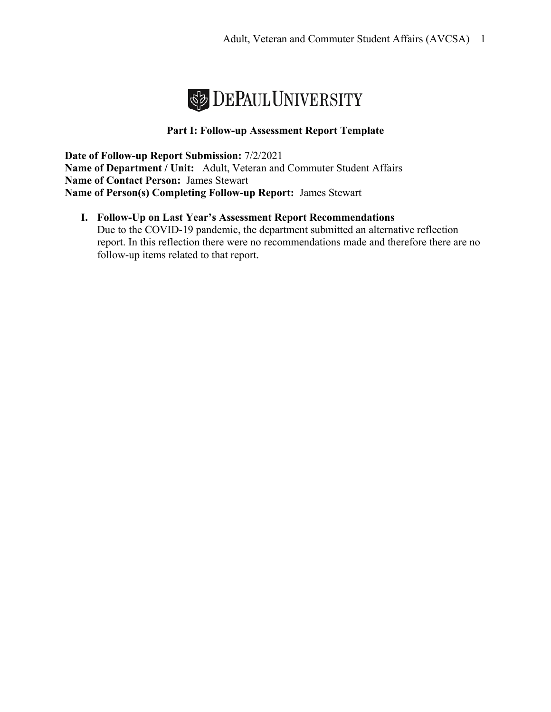

### **Part I: Follow-up Assessment Report Template**

**Date of Follow-up Report Submission:** 7/2/2021 **Name of Department / Unit:** Adult, Veteran and Commuter Student Affairs **Name of Contact Person:** James Stewart **Name of Person(s) Completing Follow-up Report:** James Stewart

**I. Follow-Up on Last Year's Assessment Report Recommendations**  Due to the COVID-19 pandemic, the department submitted an alternative reflection report. In this reflection there were no recommendations made and therefore there are no follow-up items related to that report.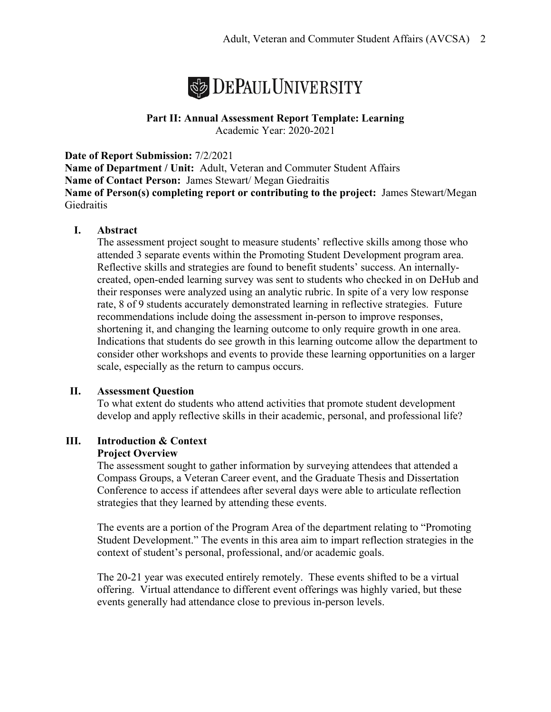

#### **Part II: Annual Assessment Report Template: Learning** Academic Year: 2020-2021

**Date of Report Submission:** 7/2/2021

**Name of Department / Unit:** Adult, Veteran and Commuter Student Affairs **Name of Contact Person:** James Stewart/ Megan Giedraitis **Name of Person(s) completing report or contributing to the project:** James Stewart/Megan Giedraitis

### **I. Abstract**

The assessment project sought to measure students' reflective skills among those who attended 3 separate events within the Promoting Student Development program area. Reflective skills and strategies are found to benefit students' success. An internallycreated, open-ended learning survey was sent to students who checked in on DeHub and their responses were analyzed using an analytic rubric. In spite of a very low response rate, 8 of 9 students accurately demonstrated learning in reflective strategies. Future recommendations include doing the assessment in-person to improve responses, shortening it, and changing the learning outcome to only require growth in one area. Indications that students do see growth in this learning outcome allow the department to consider other workshops and events to provide these learning opportunities on a larger scale, especially as the return to campus occurs.

### **II. Assessment Question**

To what extent do students who attend activities that promote student development develop and apply reflective skills in their academic, personal, and professional life?

#### **III. Introduction & Context Project Overview**

The assessment sought to gather information by surveying attendees that attended a Compass Groups, a Veteran Career event, and the Graduate Thesis and Dissertation Conference to access if attendees after several days were able to articulate reflection strategies that they learned by attending these events.

The events are a portion of the Program Area of the department relating to "Promoting Student Development." The events in this area aim to impart reflection strategies in the context of student's personal, professional, and/or academic goals.

The 20-21 year was executed entirely remotely. These events shifted to be a virtual offering. Virtual attendance to different event offerings was highly varied, but these events generally had attendance close to previous in-person levels.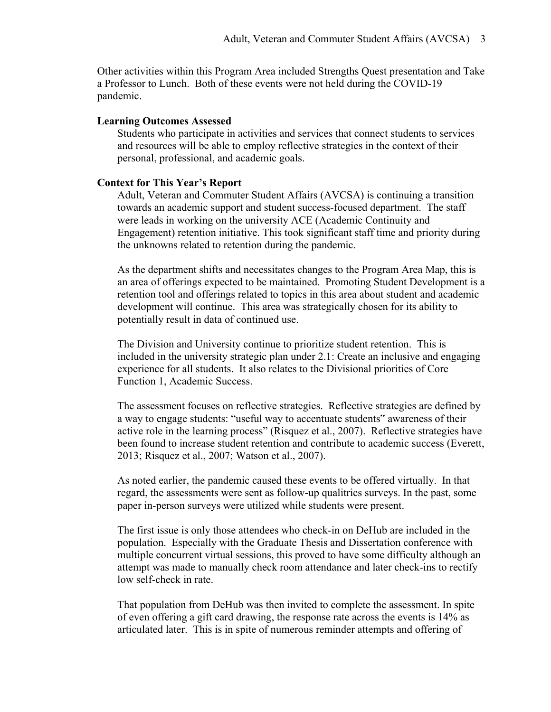Other activities within this Program Area included Strengths Quest presentation and Take a Professor to Lunch. Both of these events were not held during the COVID-19 pandemic.

#### **Learning Outcomes Assessed**

Students who participate in activities and services that connect students to services and resources will be able to employ reflective strategies in the context of their personal, professional, and academic goals.

#### **Context for This Year's Report**

Adult, Veteran and Commuter Student Affairs (AVCSA) is continuing a transition towards an academic support and student success-focused department. The staff were leads in working on the university ACE (Academic Continuity and Engagement) retention initiative. This took significant staff time and priority during the unknowns related to retention during the pandemic.

As the department shifts and necessitates changes to the Program Area Map, this is an area of offerings expected to be maintained. Promoting Student Development is a retention tool and offerings related to topics in this area about student and academic development will continue. This area was strategically chosen for its ability to potentially result in data of continued use.

The Division and University continue to prioritize student retention. This is included in the university strategic plan under 2.1: Create an inclusive and engaging experience for all students. It also relates to the Divisional priorities of Core Function 1, Academic Success.

The assessment focuses on reflective strategies. Reflective strategies are defined by a way to engage students: "useful way to accentuate students" awareness of their active role in the learning process" (Risquez et al., 2007). Reflective strategies have been found to increase student retention and contribute to academic success (Everett, 2013; Risquez et al., 2007; Watson et al., 2007).

As noted earlier, the pandemic caused these events to be offered virtually. In that regard, the assessments were sent as follow-up qualitrics surveys. In the past, some paper in-person surveys were utilized while students were present.

The first issue is only those attendees who check-in on DeHub are included in the population. Especially with the Graduate Thesis and Dissertation conference with multiple concurrent virtual sessions, this proved to have some difficulty although an attempt was made to manually check room attendance and later check-ins to rectify low self-check in rate.

That population from DeHub was then invited to complete the assessment. In spite of even offering a gift card drawing, the response rate across the events is 14% as articulated later. This is in spite of numerous reminder attempts and offering of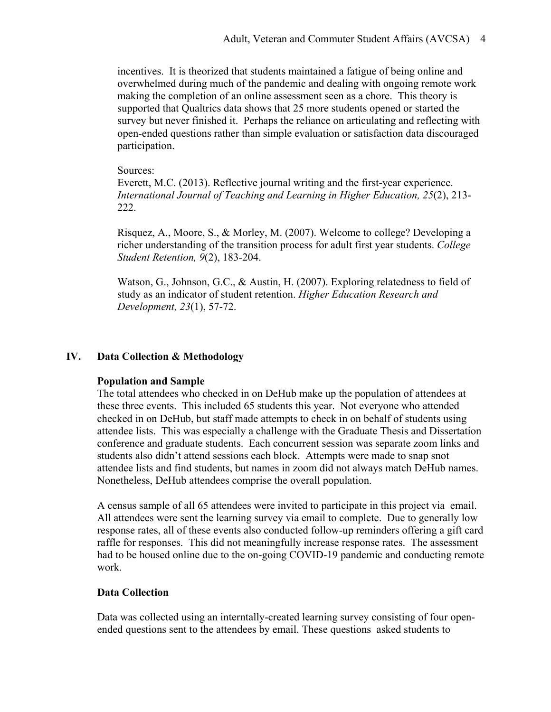incentives. It is theorized that students maintained a fatigue of being online and overwhelmed during much of the pandemic and dealing with ongoing remote work making the completion of an online assessment seen as a chore. This theory is supported that Qualtrics data shows that 25 more students opened or started the survey but never finished it. Perhaps the reliance on articulating and reflecting with open-ended questions rather than simple evaluation or satisfaction data discouraged participation.

#### Sources:

Everett, M.C. (2013). Reflective journal writing and the first-year experience. *International Journal of Teaching and Learning in Higher Education, 25*(2), 213- 222.

Risquez, A., Moore, S., & Morley, M. (2007). Welcome to college? Developing a richer understanding of the transition process for adult first year students. *College Student Retention, 9*(2), 183-204.

Watson, G., Johnson, G.C., & Austin, H. (2007). Exploring relatedness to field of study as an indicator of student retention. *Higher Education Research and Development, 23*(1), 57-72.

### **IV. Data Collection & Methodology**

### **Population and Sample**

The total attendees who checked in on DeHub make up the population of attendees at these three events. This included 65 students this year. Not everyone who attended checked in on DeHub, but staff made attempts to check in on behalf of students using attendee lists. This was especially a challenge with the Graduate Thesis and Dissertation conference and graduate students. Each concurrent session was separate zoom links and students also didn't attend sessions each block. Attempts were made to snap snot attendee lists and find students, but names in zoom did not always match DeHub names. Nonetheless, DeHub attendees comprise the overall population.

A census sample of all 65 attendees were invited to participate in this project via email. All attendees were sent the learning survey via email to complete. Due to generally low response rates, all of these events also conducted follow-up reminders offering a gift card raffle for responses. This did not meaningfully increase response rates. The assessment had to be housed online due to the on-going COVID-19 pandemic and conducting remote work.

### **Data Collection**

Data was collected using an interntally-created learning survey consisting of four openended questions sent to the attendees by email. These questions asked students to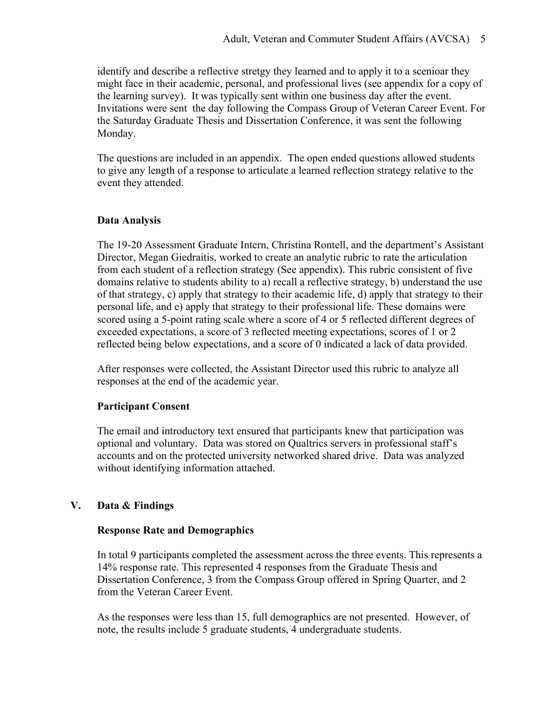identify and describe a reflective stretgy they learned and to apply it to a scenioar they might face in their academic, personal, and professional lives (see appendix for a copy of the learning survey). It was typically sent within one business day after the event. Invitations were sent the day following the Compass Group of Veteran Career Event. For the Saturday Graduate Thesis and Dissertation Conference, it was sent the following Monday.

The questions are included in an appendix. The open ended questions allowed students to give any length of a response to articulate a learned reflection strategy relative to the event they attended.

### **Data Analysis**

The 19-20 Assessment Graduate Intern, Christina Rontell, and the department's Assistant Director, Megan Giedraitis, worked to create an analytic rubric to rate the articulation from each student of a reflection strategy (See appendix). This rubric consistent of five domains relative to students ability to a) recall a reflective strategy, b) understand the use of that strategy, c) apply that strategy to their academic life, d) apply that strategy to their personal life, and e) apply that strategy to their professional life. These domains were scored using a 5-point rating scale where a score of 4 or 5 reflected different degrees of exceeded expectations, a score of 3 reflected meeting expectations, scores of 1 or 2 reflected being below expectations, and a score of 0 indicated a lack of data provided.

After responses were collected, the Assistant Director used this rubric to analyze all responses at the end of the academic year.

### **Participant Consent**

The email and introductory text ensured that participants knew that participation was optional and voluntary. Data was stored on Qualtrics servers in professional staff's accounts and on the protected university networked shared drive. Data was analyzed without identifying information attached.

### **V. Data & Findings**

### **Response Rate and Demographics**

In total 9 participants completed the assessment across the three events. This represents a 14% response rate. This represented 4 responses from the Graduate Thesis and Dissertation Conference, 3 from the Compass Group offered in Spring Quarter, and 2 from the Veteran Career Event.

As the responses were less than 15, full demographics are not presented. However, of note, the results include 5 graduate students, 4 undergraduate students.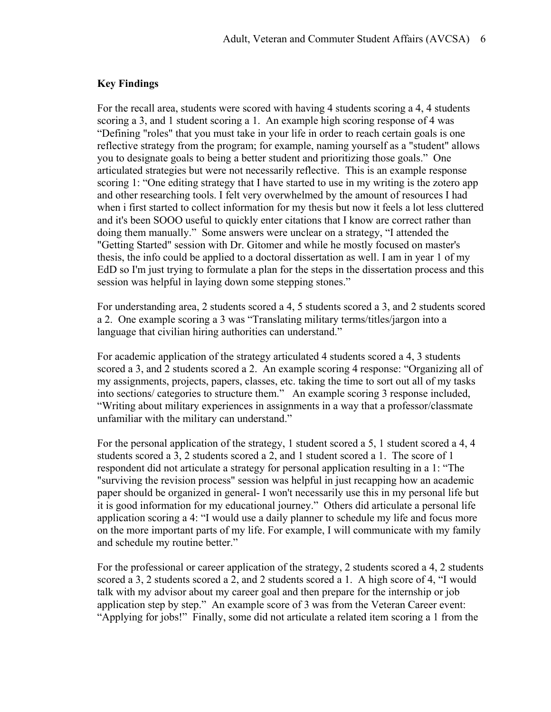#### **Key Findings**

For the recall area, students were scored with having 4 students scoring a 4, 4 students scoring a 3, and 1 student scoring a 1. An example high scoring response of 4 was "Defining "roles" that you must take in your life in order to reach certain goals is one reflective strategy from the program; for example, naming yourself as a "student" allows you to designate goals to being a better student and prioritizing those goals." One articulated strategies but were not necessarily reflective. This is an example response scoring 1: "One editing strategy that I have started to use in my writing is the zotero app and other researching tools. I felt very overwhelmed by the amount of resources I had when i first started to collect information for my thesis but now it feels a lot less cluttered and it's been SOOO useful to quickly enter citations that I know are correct rather than doing them manually." Some answers were unclear on a strategy, "I attended the "Getting Started" session with Dr. Gitomer and while he mostly focused on master's thesis, the info could be applied to a doctoral dissertation as well. I am in year 1 of my EdD so I'm just trying to formulate a plan for the steps in the dissertation process and this session was helpful in laying down some stepping stones."

For understanding area, 2 students scored a 4, 5 students scored a 3, and 2 students scored a 2. One example scoring a 3 was "Translating military terms/titles/jargon into a language that civilian hiring authorities can understand."

For academic application of the strategy articulated 4 students scored a 4, 3 students scored a 3, and 2 students scored a 2. An example scoring 4 response: "Organizing all of my assignments, projects, papers, classes, etc. taking the time to sort out all of my tasks into sections/ categories to structure them." An example scoring 3 response included, "Writing about military experiences in assignments in a way that a professor/classmate unfamiliar with the military can understand."

For the personal application of the strategy, 1 student scored a 5, 1 student scored a 4, 4 students scored a 3, 2 students scored a 2, and 1 student scored a 1. The score of 1 respondent did not articulate a strategy for personal application resulting in a 1: "The "surviving the revision process" session was helpful in just recapping how an academic paper should be organized in general- I won't necessarily use this in my personal life but it is good information for my educational journey." Others did articulate a personal life application scoring a 4: "I would use a daily planner to schedule my life and focus more on the more important parts of my life. For example, I will communicate with my family and schedule my routine better."

For the professional or career application of the strategy, 2 students scored a 4, 2 students scored a 3, 2 students scored a 2, and 2 students scored a 1. A high score of 4, "I would talk with my advisor about my career goal and then prepare for the internship or job application step by step." An example score of 3 was from the Veteran Career event: "Applying for jobs!" Finally, some did not articulate a related item scoring a 1 from the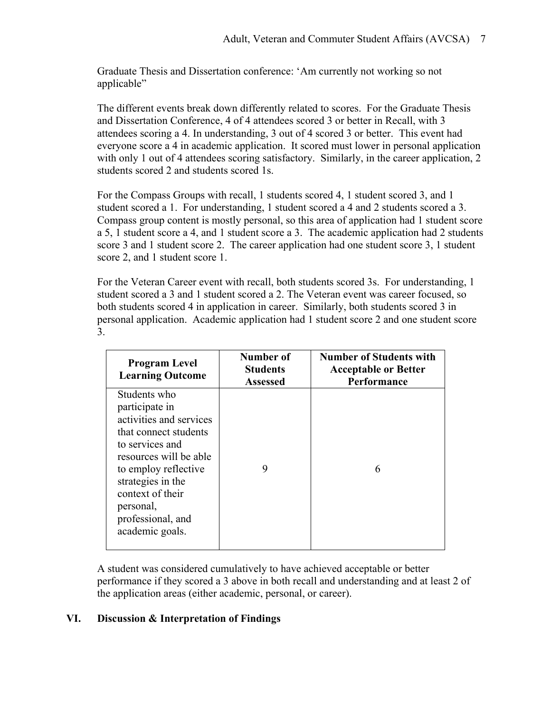Graduate Thesis and Dissertation conference: 'Am currently not working so not applicable"

The different events break down differently related to scores. For the Graduate Thesis and Dissertation Conference, 4 of 4 attendees scored 3 or better in Recall, with 3 attendees scoring a 4. In understanding, 3 out of 4 scored 3 or better. This event had everyone score a 4 in academic application. It scored must lower in personal application with only 1 out of 4 attendees scoring satisfactory. Similarly, in the career application, 2 students scored 2 and students scored 1s.

For the Compass Groups with recall, 1 students scored 4, 1 student scored 3, and 1 student scored a 1. For understanding, 1 student scored a 4 and 2 students scored a 3. Compass group content is mostly personal, so this area of application had 1 student score a 5, 1 student score a 4, and 1 student score a 3. The academic application had 2 students score 3 and 1 student score 2. The career application had one student score 3, 1 student score 2, and 1 student score 1.

For the Veteran Career event with recall, both students scored 3s. For understanding, 1 student scored a 3 and 1 student scored a 2. The Veteran event was career focused, so both students scored 4 in application in career. Similarly, both students scored 3 in personal application. Academic application had 1 student score 2 and one student score 3.

| <b>Program Level</b><br><b>Learning Outcome</b>                                                                                                                                                                                                       | Number of<br><b>Students</b><br><b>Assessed</b> | <b>Number of Students with</b><br><b>Acceptable or Better</b><br>Performance |  |  |
|-------------------------------------------------------------------------------------------------------------------------------------------------------------------------------------------------------------------------------------------------------|-------------------------------------------------|------------------------------------------------------------------------------|--|--|
| Students who<br>participate in<br>activities and services<br>that connect students<br>to services and<br>resources will be able<br>to employ reflective<br>strategies in the<br>context of their<br>personal,<br>professional, and<br>academic goals. | 9                                               | 6                                                                            |  |  |

A student was considered cumulatively to have achieved acceptable or better performance if they scored a 3 above in both recall and understanding and at least 2 of the application areas (either academic, personal, or career).

### **VI. Discussion & Interpretation of Findings**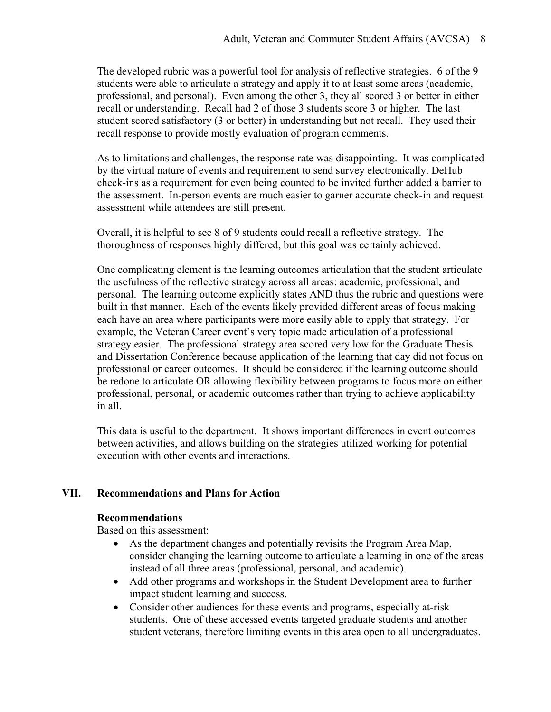The developed rubric was a powerful tool for analysis of reflective strategies. 6 of the 9 students were able to articulate a strategy and apply it to at least some areas (academic, professional, and personal). Even among the other 3, they all scored 3 or better in either recall or understanding. Recall had 2 of those 3 students score 3 or higher. The last student scored satisfactory (3 or better) in understanding but not recall. They used their recall response to provide mostly evaluation of program comments.

As to limitations and challenges, the response rate was disappointing. It was complicated by the virtual nature of events and requirement to send survey electronically. DeHub check-ins as a requirement for even being counted to be invited further added a barrier to the assessment. In-person events are much easier to garner accurate check-in and request assessment while attendees are still present.

Overall, it is helpful to see 8 of 9 students could recall a reflective strategy. The thoroughness of responses highly differed, but this goal was certainly achieved.

One complicating element is the learning outcomes articulation that the student articulate the usefulness of the reflective strategy across all areas: academic, professional, and personal. The learning outcome explicitly states AND thus the rubric and questions were built in that manner. Each of the events likely provided different areas of focus making each have an area where participants were more easily able to apply that strategy. For example, the Veteran Career event's very topic made articulation of a professional strategy easier. The professional strategy area scored very low for the Graduate Thesis and Dissertation Conference because application of the learning that day did not focus on professional or career outcomes. It should be considered if the learning outcome should be redone to articulate OR allowing flexibility between programs to focus more on either professional, personal, or academic outcomes rather than trying to achieve applicability in all.

This data is useful to the department. It shows important differences in event outcomes between activities, and allows building on the strategies utilized working for potential execution with other events and interactions.

### **VII. Recommendations and Plans for Action**

### **Recommendations**

Based on this assessment:

- As the department changes and potentially revisits the Program Area Map, consider changing the learning outcome to articulate a learning in one of the areas instead of all three areas (professional, personal, and academic).
- Add other programs and workshops in the Student Development area to further impact student learning and success.
- Consider other audiences for these events and programs, especially at-risk students. One of these accessed events targeted graduate students and another student veterans, therefore limiting events in this area open to all undergraduates.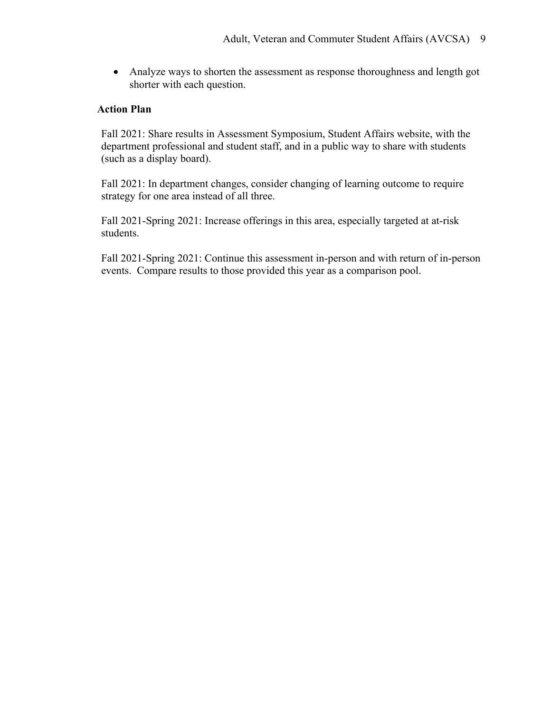• Analyze ways to shorten the assessment as response thoroughness and length got shorter with each question.

### **Action Plan**

Fall 2021: Share results in Assessment Symposium, Student Affairs website, with the department professional and student staff, and in a public way to share with students (such as a display board).

Fall 2021: In department changes, consider changing of learning outcome to require strategy for one area instead of all three.

Fall 2021-Spring 2021: Increase offerings in this area, especially targeted at at-risk students.

Fall 2021-Spring 2021: Continue this assessment in-person and with return of in-person events. Compare results to those provided this year as a comparison pool.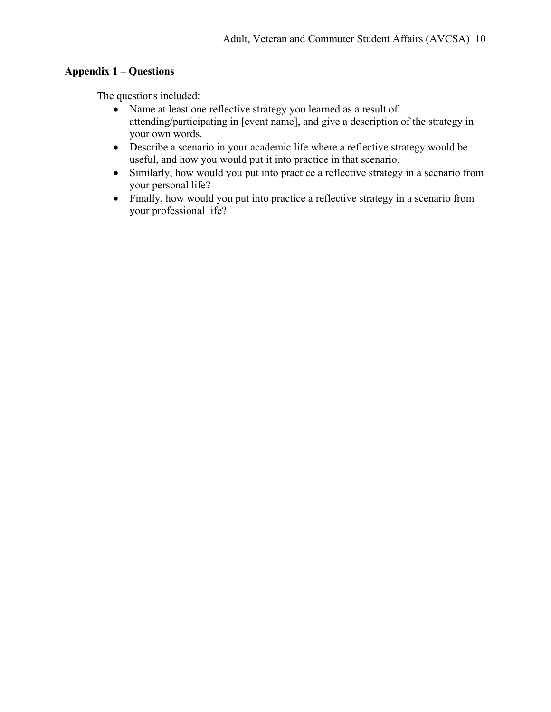## **Appendix 1 – Questions**

The questions included:

- Name at least one reflective strategy you learned as a result of attending/participating in [event name], and give a description of the strategy in your own words.
- Describe a scenario in your academic life where a reflective strategy would be useful, and how you would put it into practice in that scenario.
- Similarly, how would you put into practice a reflective strategy in a scenario from your personal life?
- Finally, how would you put into practice a reflective strategy in a scenario from your professional life?